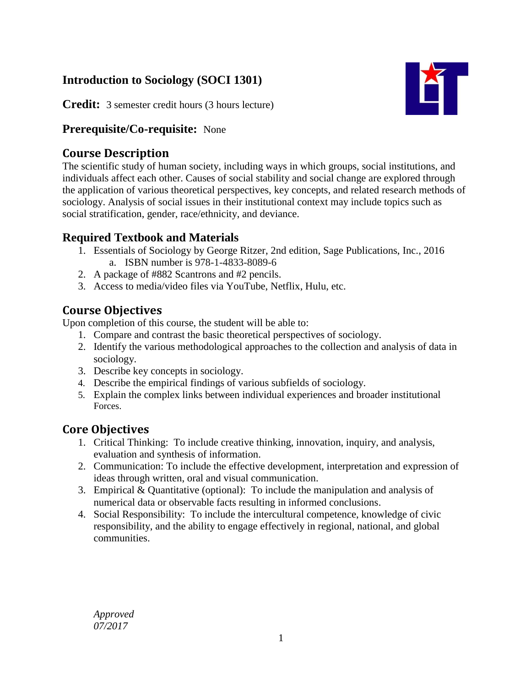# **Introduction to Sociology (SOCI 1301)**

IКГ

**Credit:** 3 semester credit hours (3 hours lecture)

### **Prerequisite/Co-requisite:** None

# **Course Description**

The scientific study of human society, including ways in which groups, social institutions, and individuals affect each other. Causes of social stability and social change are explored through the application of various theoretical perspectives, key concepts, and related research methods of sociology. Analysis of social issues in their institutional context may include topics such as social stratification, gender, race/ethnicity, and deviance.

# **Required Textbook and Materials**

- 1. Essentials of Sociology by George Ritzer, 2nd edition, Sage Publications, Inc., 2016 a. ISBN number is 978-1-4833-8089-6
- 2. A package of #882 Scantrons and #2 pencils.
- 3. Access to media/video files via YouTube, Netflix, Hulu, etc.

# **Course Objectives**

Upon completion of this course, the student will be able to:

- 1. Compare and contrast the basic theoretical perspectives of sociology.
- 2. Identify the various methodological approaches to the collection and analysis of data in sociology.
- 3. Describe key concepts in sociology.
- 4. Describe the empirical findings of various subfields of sociology.
- 5. Explain the complex links between individual experiences and broader institutional Forces.

### **Core Objectives**

- 1. Critical Thinking: To include creative thinking, innovation, inquiry, and analysis, evaluation and synthesis of information.
- 2. Communication: To include the effective development, interpretation and expression of ideas through written, oral and visual communication.
- 3. Empirical & Quantitative (optional): To include the manipulation and analysis of numerical data or observable facts resulting in informed conclusions.
- 4. Social Responsibility: To include the intercultural competence, knowledge of civic responsibility, and the ability to engage effectively in regional, national, and global communities.

*Approved 07/2017*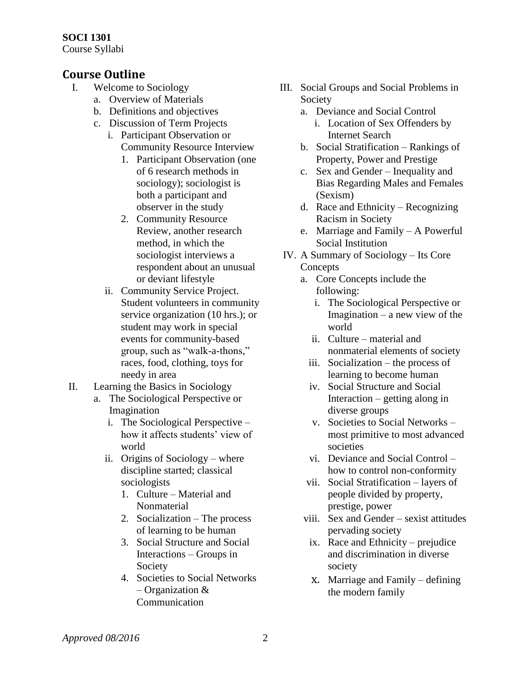# **SOCI 1301**

Course Syllabi

### **Course Outline**

- I. Welcome to Sociology
	- a. Overview of Materials
	- b. Definitions and objectives
	- c. Discussion of Term Projects
		- i. Participant Observation or Community Resource Interview
			- 1. Participant Observation (one of 6 research methods in sociology); sociologist is both a participant and observer in the study
			- 2. Community Resource Review, another research method, in which the sociologist interviews a respondent about an unusual or deviant lifestyle
		- ii. Community Service Project. Student volunteers in community service organization (10 hrs.); or student may work in special events for community-based group, such as "walk-a-thons," races, food, clothing, toys for needy in area
- II. Learning the Basics in Sociology
	- a. The Sociological Perspective or Imagination
		- i. The Sociological Perspective how it affects students' view of world
		- ii. Origins of Sociology where discipline started; classical sociologists
			- 1. Culture Material and Nonmaterial
			- 2. Socialization The process of learning to be human
			- 3. Social Structure and Social Interactions – Groups in Society
			- 4. Societies to Social Networks – Organization & Communication
- III. Social Groups and Social Problems in Society
	- a. Deviance and Social Control
		- i. Location of Sex Offenders by Internet Search
	- b. Social Stratification Rankings of Property, Power and Prestige
	- c. Sex and Gender Inequality and Bias Regarding Males and Females (Sexism)
	- d. Race and Ethnicity Recognizing Racism in Society
	- e. Marriage and Family A Powerful Social Institution
- IV. A Summary of Sociology Its Core Concepts
	- a. Core Concepts include the following:
		- i. The Sociological Perspective or Imagination – a new view of the world
		- ii. Culture material and nonmaterial elements of society
		- iii. Socialization the process of learning to become human
		- iv. Social Structure and Social Interaction – getting along in diverse groups
		- v. Societies to Social Networks most primitive to most advanced societies
		- vi. Deviance and Social Control how to control non-conformity
	- vii. Social Stratification layers of people divided by property, prestige, power
	- viii. Sex and Gender sexist attitudes pervading society
		- ix. Race and Ethnicity prejudice and discrimination in diverse society
		- x. Marriage and Family defining the modern family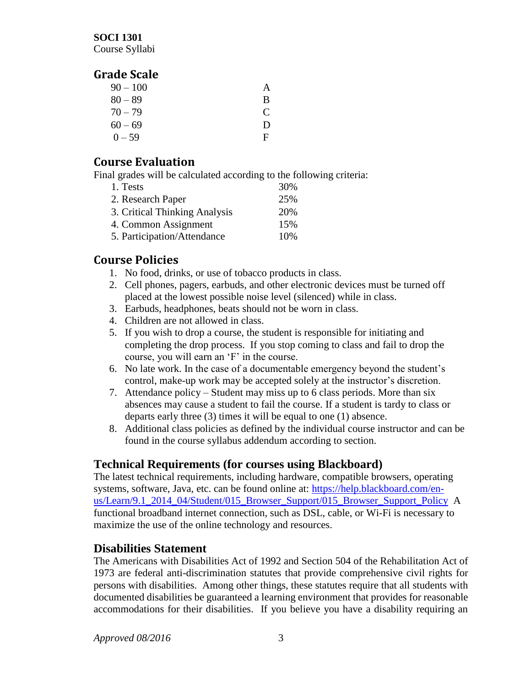#### **SOCI 1301**

Course Syllabi

### **Grade Scale**

| $90 - 100$ | A |
|------------|---|
| $80 - 89$  | B |
| $70 - 79$  | C |
| $60 - 69$  | Ð |
| $0 - 59$   | F |

### **Course Evaluation**

Final grades will be calculated according to the following criteria:

| 1. Tests                      | 30% |
|-------------------------------|-----|
| 2. Research Paper             | 25% |
| 3. Critical Thinking Analysis | 20% |
| 4. Common Assignment          | 15% |
| 5. Participation/Attendance   | 10% |

### **Course Policies**

- 1. No food, drinks, or use of tobacco products in class.
- 2. Cell phones, pagers, earbuds, and other electronic devices must be turned off placed at the lowest possible noise level (silenced) while in class.
- 3. Earbuds, headphones, beats should not be worn in class.
- 4. Children are not allowed in class.
- 5. If you wish to drop a course, the student is responsible for initiating and completing the drop process. If you stop coming to class and fail to drop the course, you will earn an 'F' in the course.
- 6. No late work. In the case of a documentable emergency beyond the student's control, make-up work may be accepted solely at the instructor's discretion.
- 7. Attendance policy Student may miss up to 6 class periods. More than six absences may cause a student to fail the course. If a student is tardy to class or departs early three (3) times it will be equal to one (1) absence.
- 8. Additional class policies as defined by the individual course instructor and can be found in the course syllabus addendum according to section.

### **Technical Requirements (for courses using Blackboard)**

The latest technical requirements, including hardware, compatible browsers, operating systems, software, Java, etc. can be found online at: [https://help.blackboard.com/en](https://help.blackboard.com/en-us/Learn/9.1_2014_04/Student/015_Browser_Support/015_Browser_Support_Policy)[us/Learn/9.1\\_2014\\_04/Student/015\\_Browser\\_Support/015\\_Browser\\_Support\\_Policy](https://help.blackboard.com/en-us/Learn/9.1_2014_04/Student/015_Browser_Support/015_Browser_Support_Policy) A functional broadband internet connection, such as DSL, cable, or Wi-Fi is necessary to maximize the use of the online technology and resources.

### **Disabilities Statement**

The Americans with Disabilities Act of 1992 and Section 504 of the Rehabilitation Act of 1973 are federal anti-discrimination statutes that provide comprehensive civil rights for persons with disabilities. Among other things, these statutes require that all students with documented disabilities be guaranteed a learning environment that provides for reasonable accommodations for their disabilities. If you believe you have a disability requiring an